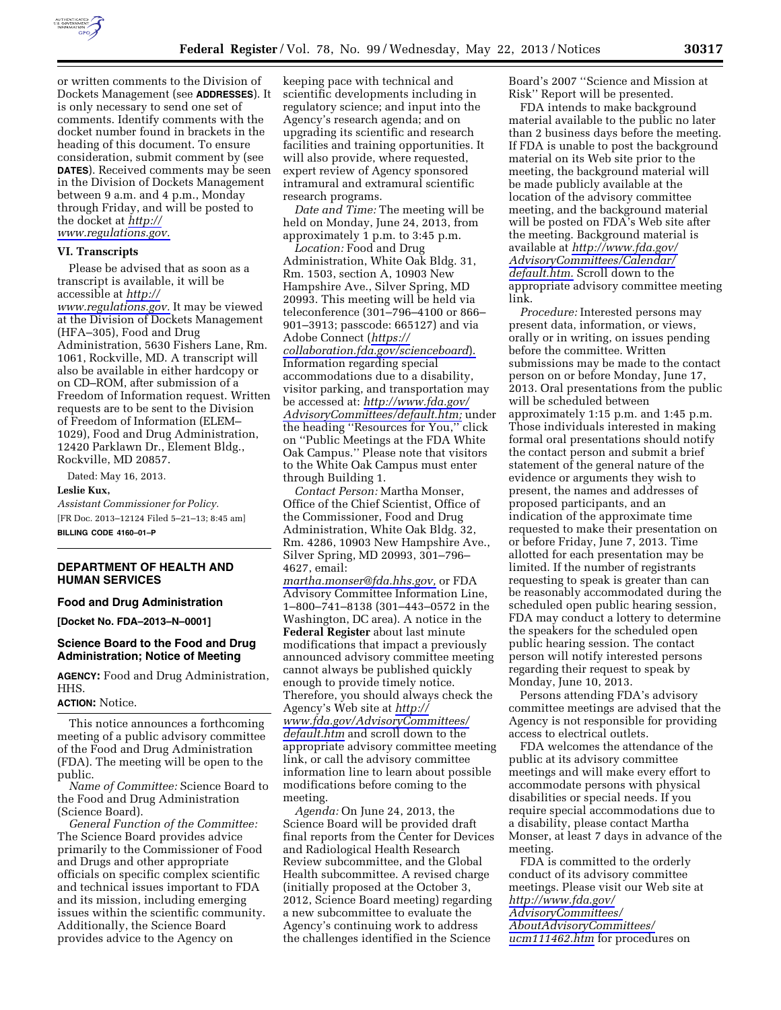

or written comments to the Division of Dockets Management (see **ADDRESSES**). It is only necessary to send one set of comments. Identify comments with the docket number found in brackets in the heading of this document. To ensure consideration, submit comment by (see **DATES**). Received comments may be seen in the Division of Dockets Management between 9 a.m. and 4 p.m., Monday through Friday, and will be posted to the docket at *[http://](http://www.regulations.gov)  [www.regulations.gov.](http://www.regulations.gov)* 

#### **VI. Transcripts**

Please be advised that as soon as a transcript is available, it will be accessible at *[http://](http://www.regulations.gov) [www.regulations.gov.](http://www.regulations.gov)* It may be viewed at the Division of Dockets Management (HFA–305), Food and Drug Administration, 5630 Fishers Lane, Rm. 1061, Rockville, MD. A transcript will also be available in either hardcopy or on CD–ROM, after submission of a Freedom of Information request. Written requests are to be sent to the Division of Freedom of Information (ELEM– 1029), Food and Drug Administration, 12420 Parklawn Dr., Element Bldg., Rockville, MD 20857.

Dated: May 16, 2013.

#### **Leslie Kux,**

*Assistant Commissioner for Policy.*  [FR Doc. 2013–12124 Filed 5–21–13; 8:45 am] **BILLING CODE 4160–01–P** 

# **DEPARTMENT OF HEALTH AND HUMAN SERVICES**

### **Food and Drug Administration**

**[Docket No. FDA–2013–N–0001]** 

## **Science Board to the Food and Drug Administration; Notice of Meeting**

**AGENCY:** Food and Drug Administration, HHS.

### **ACTION:** Notice.

This notice announces a forthcoming meeting of a public advisory committee of the Food and Drug Administration (FDA). The meeting will be open to the public.

*Name of Committee:* Science Board to the Food and Drug Administration (Science Board).

*General Function of the Committee:*  The Science Board provides advice primarily to the Commissioner of Food and Drugs and other appropriate officials on specific complex scientific and technical issues important to FDA and its mission, including emerging issues within the scientific community. Additionally, the Science Board provides advice to the Agency on

keeping pace with technical and scientific developments including in regulatory science; and input into the Agency's research agenda; and on upgrading its scientific and research facilities and training opportunities. It will also provide, where requested, expert review of Agency sponsored intramural and extramural scientific research programs.

*Date and Time:* The meeting will be held on Monday, June 24, 2013, from approximately 1 p.m. to 3:45 p.m.

*Location:* Food and Drug Administration, White Oak Bldg. 31, Rm. 1503, section A, 10903 New Hampshire Ave., Silver Spring, MD 20993. This meeting will be held via teleconference (301–796–4100 or 866– 901–3913; passcode: 665127) and via Adobe Connect (*[https://](https://collaboration.fda.gov/scienceboard) [collaboration.fda.gov/scienceboard](https://collaboration.fda.gov/scienceboard)*). Information regarding special accommodations due to a disability, visitor parking, and transportation may be accessed at: *[http://www.fda.gov/](http://www.fda.gov/AdvisoryCommittees/default.htm) [AdvisoryCommittees/default.htm;](http://www.fda.gov/AdvisoryCommittees/default.htm)* under the heading ''Resources for You,'' click on ''Public Meetings at the FDA White Oak Campus.'' Please note that visitors to the White Oak Campus must enter through Building 1.

*Contact Person:* Martha Monser, Office of the Chief Scientist, Office of the Commissioner, Food and Drug Administration, White Oak Bldg. 32, Rm. 4286, 10903 New Hampshire Ave., Silver Spring, MD 20993, 301–796– 4627, email:

*[martha.monser@fda.hhs.gov,](mailto:martha.monser@fda.hhs.gov)* or FDA Advisory Committee Information Line, 1–800–741–8138 (301–443–0572 in the Washington, DC area). A notice in the **Federal Register** about last minute modifications that impact a previously announced advisory committee meeting cannot always be published quickly enough to provide timely notice. Therefore, you should always check the Agency's Web site at *[http://](http://www.fda.gov/AdvisoryCommittees/default.htm) [www.fda.gov/AdvisoryCommittees/](http://www.fda.gov/AdvisoryCommittees/default.htm) [default.htm](http://www.fda.gov/AdvisoryCommittees/default.htm)* and scroll down to the appropriate advisory committee meeting link, or call the advisory committee information line to learn about possible modifications before coming to the meeting.

*Agenda:* On June 24, 2013, the Science Board will be provided draft final reports from the Center for Devices and Radiological Health Research Review subcommittee, and the Global Health subcommittee. A revised charge (initially proposed at the October 3, 2012, Science Board meeting) regarding a new subcommittee to evaluate the Agency's continuing work to address the challenges identified in the Science

Board's 2007 ''Science and Mission at Risk'' Report will be presented.

FDA intends to make background material available to the public no later than 2 business days before the meeting. If FDA is unable to post the background material on its Web site prior to the meeting, the background material will be made publicly available at the location of the advisory committee meeting, and the background material will be posted on FDA's Web site after the meeting. Background material is available at *[http://www.fda.gov/](http://www.fda.gov/AdvisoryCommittees/Calendar/default.htm)  [AdvisoryCommittees/Calendar/](http://www.fda.gov/AdvisoryCommittees/Calendar/default.htm)  [default.htm.](http://www.fda.gov/AdvisoryCommittees/Calendar/default.htm)* Scroll down to the appropriate advisory committee meeting link.

*Procedure:* Interested persons may present data, information, or views, orally or in writing, on issues pending before the committee. Written submissions may be made to the contact person on or before Monday, June 17, 2013. Oral presentations from the public will be scheduled between approximately 1:15 p.m. and 1:45 p.m. Those individuals interested in making formal oral presentations should notify the contact person and submit a brief statement of the general nature of the evidence or arguments they wish to present, the names and addresses of proposed participants, and an indication of the approximate time requested to make their presentation on or before Friday, June 7, 2013. Time allotted for each presentation may be limited. If the number of registrants requesting to speak is greater than can be reasonably accommodated during the scheduled open public hearing session, FDA may conduct a lottery to determine the speakers for the scheduled open public hearing session. The contact person will notify interested persons regarding their request to speak by Monday, June 10, 2013.

Persons attending FDA's advisory committee meetings are advised that the Agency is not responsible for providing access to electrical outlets.

FDA welcomes the attendance of the public at its advisory committee meetings and will make every effort to accommodate persons with physical disabilities or special needs. If you require special accommodations due to a disability, please contact Martha Monser, at least 7 days in advance of the meeting.

FDA is committed to the orderly conduct of its advisory committee meetings. Please visit our Web site at *[http://www.fda.gov/](http://www.fda.gov/AdvisoryCommittees/AboutAdvisoryCommittees/ucm111462.htm) [AdvisoryCommittees/](http://www.fda.gov/AdvisoryCommittees/AboutAdvisoryCommittees/ucm111462.htm) [AboutAdvisoryCommittees/](http://www.fda.gov/AdvisoryCommittees/AboutAdvisoryCommittees/ucm111462.htm)  [ucm111462.htm](http://www.fda.gov/AdvisoryCommittees/AboutAdvisoryCommittees/ucm111462.htm)* for procedures on